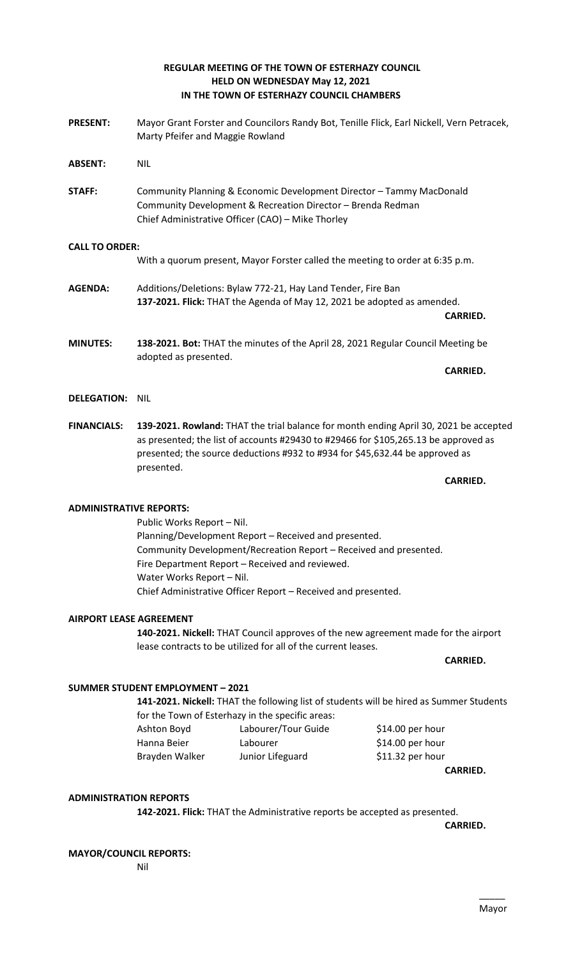# **REGULAR MEETING OF THE TOWN OF ESTERHAZY COUNCIL HELD ON WEDNESDAY May 12, 2021 IN THE TOWN OF ESTERHAZY COUNCIL CHAMBERS**

- **PRESENT:** Mayor Grant Forster and Councilors Randy Bot, Tenille Flick, Earl Nickell, Vern Petracek, Marty Pfeifer and Maggie Rowland
- **ABSENT:** NIL
- **STAFF:** Community Planning & Economic Development Director Tammy MacDonald Community Development & Recreation Director – Brenda Redman Chief Administrative Officer (CAO) – Mike Thorley

# **CALL TO ORDER:**

With a quorum present, Mayor Forster called the meeting to order at 6:35 p.m.

- **AGENDA:** Additions/Deletions: Bylaw 772-21, Hay Land Tender, Fire Ban **137-2021. Flick:** THAT the Agenda of May 12, 2021 be adopted as amended. **CARRIED.**
- **MINUTES: 138-2021. Bot:** THAT the minutes of the April 28, 2021 Regular Council Meeting be adopted as presented.

- **DELEGATION:** NIL
- **FINANCIALS: 139-2021. Rowland:** THAT the trial balance for month ending April 30, 2021 be accepted as presented; the list of accounts #29430 to #29466 for \$105,265.13 be approved as presented; the source deductions #932 to #934 for \$45,632.44 be approved as presented.

**CARRIED.** 

**CARRIED.**

# **ADMINISTRATIVE REPORTS:**

Public Works Report – Nil. Planning/Development Report – Received and presented. Community Development/Recreation Report – Received and presented. Fire Department Report – Received and reviewed. Water Works Report – Nil. Chief Administrative Officer Report – Received and presented.

# **AIRPORT LEASE AGREEMENT**

**140-2021. Nickell:** THAT Council approves of the new agreement made for the airport lease contracts to be utilized for all of the current leases.

**CARRIED.**

# **SUMMER STUDENT EMPLOYMENT – 2021**

**141-2021. Nickell:** THAT the following list of students will be hired as Summer Students for the Town of Esterhazy in the specific areas:

Ashton Boyd Labourer/Tour Guide \$14.00 per hour Hanna Beier Labourer **1988** S14.00 per hour Brayden Walker Junior Lifeguard \$11.32 per hour

**CARRIED.** 

### **ADMINISTRATION REPORTS**

**142-2021. Flick:** THAT the Administrative reports be accepted as presented.

**CARRIED.**

### **MAYOR/COUNCIL REPORTS:**

Nil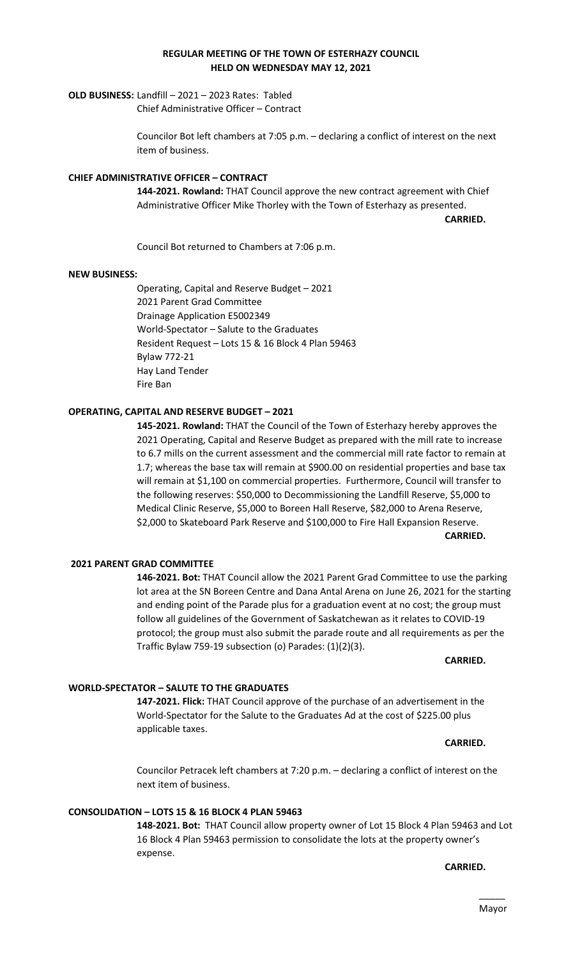#### $\overline{\phantom{a}}$ Mayor

### **REGULAR MEETING OF THE TOWN OF ESTERHAZY COUNCIL HELD ON WEDNESDAY MAY 12, 2021**

# **OLD BUSINESS:** Landfill – 2021 – 2023 Rates: Tabled

Chief Administrative Officer – Contract

Councilor Bot left chambers at 7:05 p.m. – declaring a conflict of interest on the next item of business.

## **CHIEF ADMINISTRATIVE OFFICER – CONTRACT**

**144-2021. Rowland:** THAT Council approve the new contract agreement with Chief Administrative Officer Mike Thorley with the Town of Esterhazy as presented.

**CARRIED.** 

Council Bot returned to Chambers at 7:06 p.m.

# **NEW BUSINESS:**

Operating, Capital and Reserve Budget – 2021 2021 Parent Grad Committee Drainage Application E5002349 World-Spectator – Salute to the Graduates Resident Request – Lots 15 & 16 Block 4 Plan 59463 Bylaw 772-21 Hay Land Tender Fire Ban

# **OPERATING, CAPITAL AND RESERVE BUDGET – 2021**

**145-2021. Rowland:** THAT the Council of the Town of Esterhazy hereby approves the 2021 Operating, Capital and Reserve Budget as prepared with the mill rate to increase to 6.7 mills on the current assessment and the commercial mill rate factor to remain at 1.7; whereas the base tax will remain at \$900.00 on residential properties and base tax will remain at \$1,100 on commercial properties. Furthermore, Council will transfer to the following reserves: \$50,000 to Decommissioning the Landfill Reserve, \$5,000 to Medical Clinic Reserve, \$5,000 to Boreen Hall Reserve, \$82,000 to Arena Reserve, \$2,000 to Skateboard Park Reserve and \$100,000 to Fire Hall Expansion Reserve.

**CARRIED.**

### **2021 PARENT GRAD COMMITTEE**

**146-2021. Bot:** THAT Council allow the 2021 Parent Grad Committee to use the parking lot area at the SN Boreen Centre and Dana Antal Arena on June 26, 2021 for the starting and ending point of the Parade plus for a graduation event at no cost; the group must follow all guidelines of the Government of Saskatchewan as it relates to COVID-19 protocol; the group must also submit the parade route and all requirements as per the Traffic Bylaw 759-19 subsection (o) Parades: (1)(2)(3).

**CARRIED.**

### **WORLD-SPECTATOR – SALUTE TO THE GRADUATES**

**147-2021. Flick:** THAT Council approve of the purchase of an advertisement in the World-Spectator for the Salute to the Graduates Ad at the cost of \$225.00 plus applicable taxes.

**CARRIED.**

Councilor Petracek left chambers at 7:20 p.m. – declaring a conflict of interest on the next item of business.

### **CONSOLIDATION – LOTS 15 & 16 BLOCK 4 PLAN 59463**

**148-2021. Bot:** THAT Council allow property owner of Lot 15 Block 4 Plan 59463 and Lot 16 Block 4 Plan 59463 permission to consolidate the lots at the property owner's expense.

**CARRIED.**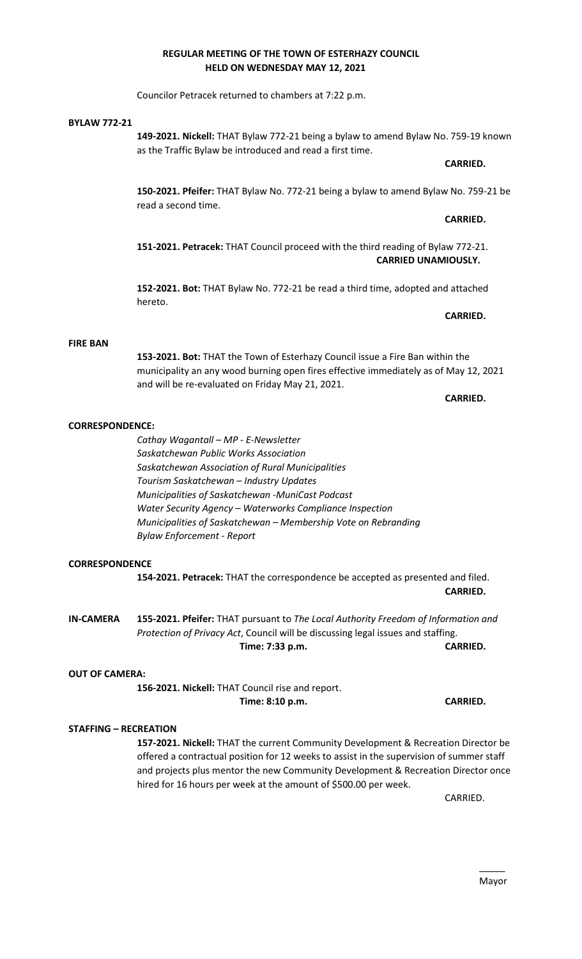#### $\overline{\phantom{a}}$ Mayor

#### **REGULAR MEETING OF THE TOWN OF ESTERHAZY COUNCIL HELD ON WEDNESDAY MAY 12, 2021**

Councilor Petracek returned to chambers at 7:22 p.m.

#### **BYLAW 772-21**

**149-2021. Nickell:** THAT Bylaw 772-21 being a bylaw to amend Bylaw No. 759-19 known as the Traffic Bylaw be introduced and read a first time.

# **CARRIED.**

**CARRIED.** 

**150-2021. Pfeifer:** THAT Bylaw No. 772-21 being a bylaw to amend Bylaw No. 759-21 be read a second time.

**151-2021. Petracek:** THAT Council proceed with the third reading of Bylaw 772-21. **CARRIED UNAMIOUSLY.** 

**152-2021. Bot:** THAT Bylaw No. 772-21 be read a third time, adopted and attached hereto.

#### **CARRIED.**

#### **FIRE BAN**

**153-2021. Bot:** THAT the Town of Esterhazy Council issue a Fire Ban within the municipality an any wood burning open fires effective immediately as of May 12, 2021 and will be re-evaluated on Friday May 21, 2021.

**CARRIED.**

### **CORRESPONDENCE:**

*Cathay Wagantall – MP - E-Newsletter Saskatchewan Public Works Association Saskatchewan Association of Rural Municipalities Tourism Saskatchewan – Industry Updates Municipalities of Saskatchewan -MuniCast Podcast Water Security Agency – Waterworks Compliance Inspection Municipalities of Saskatchewan – Membership Vote on Rebranding Bylaw Enforcement - Report*

# **CORRESPONDENCE**

**154-2021. Petracek:** THAT the correspondence be accepted as presented and filed. **CARRIED.** 

**IN-CAMERA 155-2021. Pfeifer:** THAT pursuant to *The Local Authority Freedom of Information and Protection of Privacy Act*, Council will be discussing legal issues and staffing. **Time: 7:33 p.m. CARRIED.** 

### **OUT OF CAMERA:**

**156-2021. Nickell:** THAT Council rise and report. **Time: 8:10 p.m. CARRIED.** 

### **STAFFING – RECREATION**

**157-2021. Nickell:** THAT the current Community Development & Recreation Director be offered a contractual position for 12 weeks to assist in the supervision of summer staff and projects plus mentor the new Community Development & Recreation Director once hired for 16 hours per week at the amount of \$500.00 per week.

CARRIED.